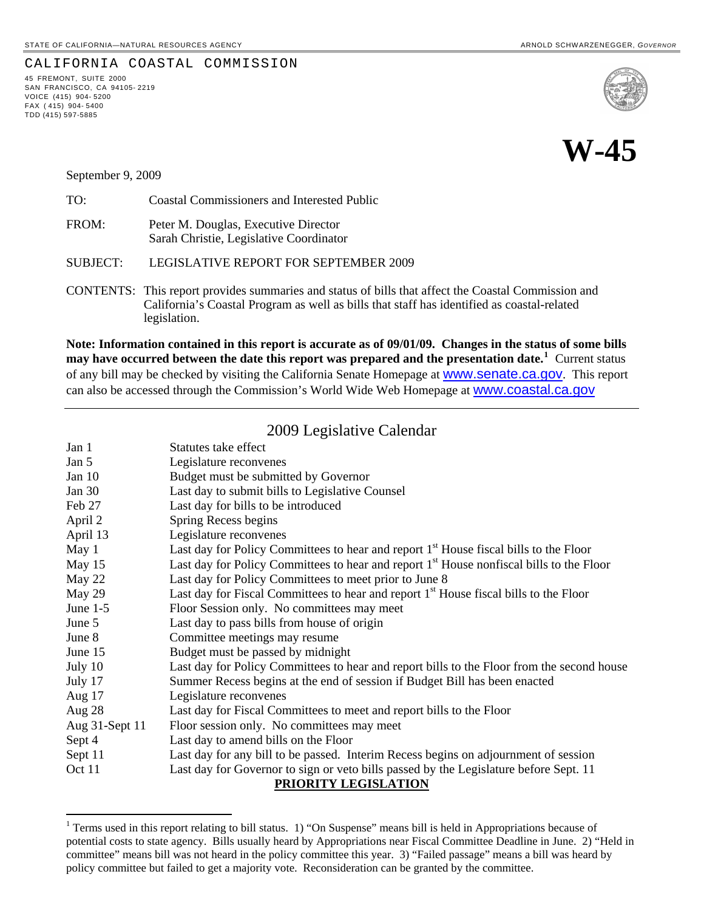#### CALIFORNIA COASTAL COMMISSION

45 FREMONT, SUITE 2000 SAN FRANCISCO, CA 94105- 2219 VOICE (415) 904- 5200 FAX ( 415) 904- 5400 TDD (415) 597-5885

l





September 9, 2009

| TO:      | Coastal Commissioners and Interested Public                                     |
|----------|---------------------------------------------------------------------------------|
| FROM:    | Peter M. Douglas, Executive Director<br>Sarah Christie, Legislative Coordinator |
| SUBJECT: | LEGISLATIVE REPORT FOR SEPTEMBER 2009                                           |
|          | $\overline{O}$                                                                  |

CONTENTS: This report provides summaries and status of bills that affect the Coastal Commission and California's Coastal Program as well as bills that staff has identified as coastal-related legislation.

**Note: Information contained in this report is accurate as of 09/01/09. Changes in the status of some bills may have occurred between the date this report was prepared and the presentation date.[1](#page-0-0)** Current status of any bill may be checked by visiting the California Senate Homepage at **WWW.Senate.ca.gov**. This report can also be accessed through the Commission's World Wide Web Homepage at [www.coastal.ca.gov](http://www.coastal.ca.gov/)

# 2009 Legislative Calendar

| Jan 1                | Statutes take effect                                                                                 |  |  |  |
|----------------------|------------------------------------------------------------------------------------------------------|--|--|--|
| Jan 5                | Legislature reconvenes                                                                               |  |  |  |
| Jan $10$             | Budget must be submitted by Governor                                                                 |  |  |  |
| Jan $30$             | Last day to submit bills to Legislative Counsel                                                      |  |  |  |
| Feb 27               | Last day for bills to be introduced                                                                  |  |  |  |
| April 2              | Spring Recess begins                                                                                 |  |  |  |
| April 13             | Legislature reconvenes                                                                               |  |  |  |
| May 1                | Last day for Policy Committees to hear and report 1 <sup>st</sup> House fiscal bills to the Floor    |  |  |  |
| May 15               | Last day for Policy Committees to hear and report 1 <sup>st</sup> House nonfiscal bills to the Floor |  |  |  |
| May 22               | Last day for Policy Committees to meet prior to June 8                                               |  |  |  |
| May 29               | Last day for Fiscal Committees to hear and report 1 <sup>st</sup> House fiscal bills to the Floor    |  |  |  |
| June $1-5$           | Floor Session only. No committees may meet                                                           |  |  |  |
| June 5               | Last day to pass bills from house of origin                                                          |  |  |  |
| June 8               | Committee meetings may resume                                                                        |  |  |  |
| June 15              | Budget must be passed by midnight                                                                    |  |  |  |
| July 10              | Last day for Policy Committees to hear and report bills to the Floor from the second house           |  |  |  |
| July 17              | Summer Recess begins at the end of session if Budget Bill has been enacted                           |  |  |  |
| Aug 17               | Legislature reconvenes                                                                               |  |  |  |
| Aug $28$             | Last day for Fiscal Committees to meet and report bills to the Floor                                 |  |  |  |
| Aug 31-Sept 11       | Floor session only. No committees may meet                                                           |  |  |  |
| Sept 4               | Last day to amend bills on the Floor                                                                 |  |  |  |
| Sept 11              | Last day for any bill to be passed. Interim Recess begins on adjournment of session                  |  |  |  |
| Oct 11               | Last day for Governor to sign or veto bills passed by the Legislature before Sept. 11                |  |  |  |
| PRIORITY LEGISLATION |                                                                                                      |  |  |  |

<span id="page-0-0"></span><sup>&</sup>lt;sup>1</sup> Terms used in this report relating to bill status. 1) "On Suspense" means bill is held in Appropriations because of potential costs to state agency. Bills usually heard by Appropriations near Fiscal Committee Deadline in June. 2) "Held in committee" means bill was not heard in the policy committee this year. 3) "Failed passage" means a bill was heard by policy committee but failed to get a majority vote. Reconsideration can be granted by the committee.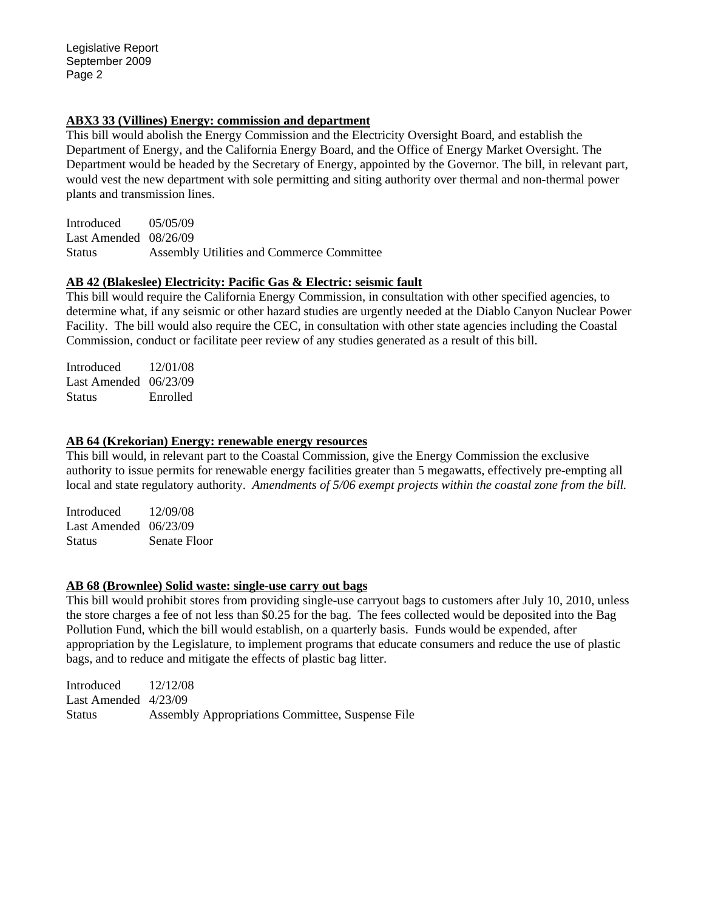### **ABX3 33 (Villines) Energy: commission and department**

This bill would abolish the Energy Commission and the Electricity Oversight Board, and establish the Department of Energy, and the California Energy Board, and the Office of Energy Market Oversight. The Department would be headed by the Secretary of Energy, appointed by the Governor. The bill, in relevant part, would vest the new department with sole permitting and siting authority over thermal and non-thermal power plants and transmission lines.

Introduced 05/05/09 Last Amended 08/26/09 Status Assembly Utilities and Commerce Committee

## **AB 42 (Blakeslee) Electricity: Pacific Gas & Electric: seismic fault**

This bill would require the California Energy Commission, in consultation with other specified agencies, to determine what, if any seismic or other hazard studies are urgently needed at the Diablo Canyon Nuclear Power Facility. The bill would also require the CEC, in consultation with other state agencies including the Coastal Commission, conduct or facilitate peer review of any studies generated as a result of this bill.

Introduced 12/01/08 Last Amended 06/23/09 Status Enrolled

## **AB 64 (Krekorian) Energy: renewable energy resources**

This bill would, in relevant part to the Coastal Commission, give the Energy Commission the exclusive authority to issue permits for renewable energy facilities greater than 5 megawatts, effectively pre-empting all local and state regulatory authority. *Amendments of 5/06 exempt projects within the coastal zone from the bill.* 

Introduced 12/09/08 Last Amended 06/23/09 Status Senate Floor

### **AB 68 (Brownlee) Solid waste: single-use carry out bags**

This bill would prohibit stores from providing single-use carryout bags to customers after July 10, 2010, unless the store charges a fee of not less than \$0.25 for the bag. The fees collected would be deposited into the Bag Pollution Fund, which the bill would establish, on a quarterly basis. Funds would be expended, after appropriation by the Legislature, to implement programs that educate consumers and reduce the use of plastic bags, and to reduce and mitigate the effects of plastic bag litter.

| Introduced             | 12/12/08                                         |
|------------------------|--------------------------------------------------|
| Last Amended $4/23/09$ |                                                  |
| <b>Status</b>          | Assembly Appropriations Committee, Suspense File |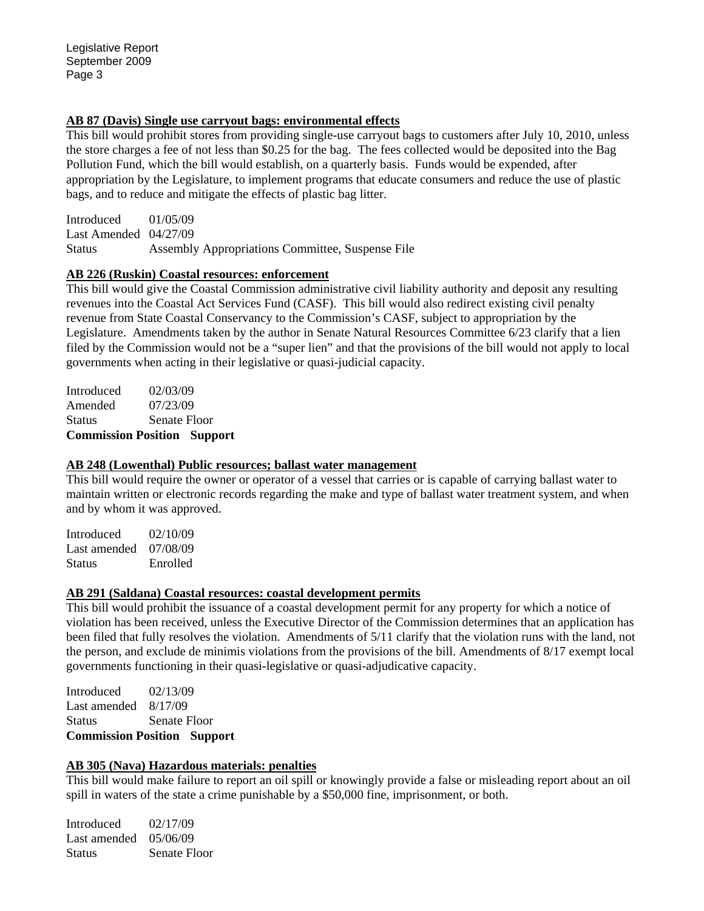### **AB 87 (Davis) Single use carryout bags: environmental effects**

This bill would prohibit stores from providing single-use carryout bags to customers after July 10, 2010, unless the store charges a fee of not less than \$0.25 for the bag. The fees collected would be deposited into the Bag Pollution Fund, which the bill would establish, on a quarterly basis. Funds would be expended, after appropriation by the Legislature, to implement programs that educate consumers and reduce the use of plastic bags, and to reduce and mitigate the effects of plastic bag litter.

Introduced 01/05/09 Last Amended 04/27/09 Status Assembly Appropriations Committee, Suspense File

## **AB 226 (Ruskin) Coastal resources: enforcement**

This bill would give the Coastal Commission administrative civil liability authority and deposit any resulting revenues into the Coastal Act Services Fund (CASF). This bill would also redirect existing civil penalty revenue from State Coastal Conservancy to the Commission's CASF, subject to appropriation by the Legislature. Amendments taken by the author in Senate Natural Resources Committee 6/23 clarify that a lien filed by the Commission would not be a "super lien" and that the provisions of the bill would not apply to local governments when acting in their legislative or quasi-judicial capacity.

| <b>Commission Position Support</b> |              |  |
|------------------------------------|--------------|--|
| <b>Status</b>                      | Senate Floor |  |
| Amended                            | 07/23/09     |  |
| Introduced                         | 02/03/09     |  |

## **AB 248 (Lowenthal) Public resources; ballast water management**

This bill would require the owner or operator of a vessel that carries or is capable of carrying ballast water to maintain written or electronic records regarding the make and type of ballast water treatment system, and when and by whom it was approved.

Introduced 02/10/09 Last amended 07/08/09 Status Enrolled

## **AB 291 (Saldana) Coastal resources: coastal development permits**

This bill would prohibit the issuance of a coastal development permit for any property for which a notice of violation has been received, unless the Executive Director of the Commission determines that an application has been filed that fully resolves the violation. Amendments of 5/11 clarify that the violation runs with the land, not the person, and exclude de minimis violations from the provisions of the bill. Amendments of 8/17 exempt local governments functioning in their quasi-legislative or quasi-adjudicative capacity.

Introduced 02/13/09 Last amended 8/17/09 Status Senate Floor **Commission Position Support** 

## **AB 305 (Nava) Hazardous materials: penalties**

This bill would make failure to report an oil spill or knowingly provide a false or misleading report about an oil spill in waters of the state a crime punishable by a \$50,000 fine, imprisonment, or both.

Introduced 02/17/09 Last amended 05/06/09 Status Senate Floor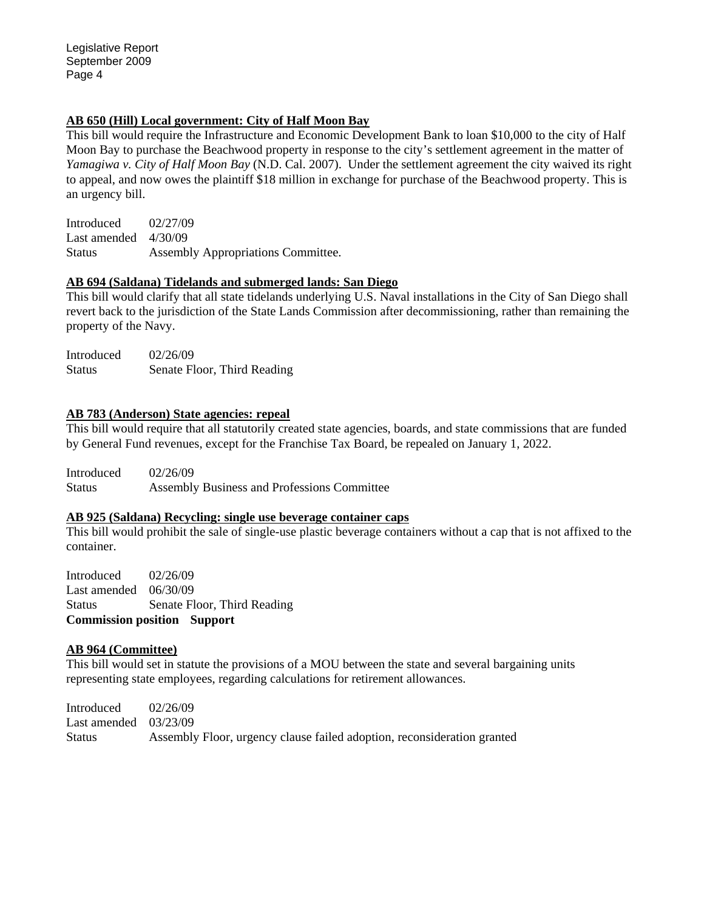### **AB 650 (Hill) Local government: City of Half Moon Bay**

This bill would require the Infrastructure and Economic Development Bank to loan \$10,000 to the city of Half Moon Bay to purchase the Beachwood property in response to the city's settlement agreement in the matter of *Yamagiwa v. City of Half Moon Bay* (N.D. Cal. 2007). Under the settlement agreement the city waived its right to appeal, and now owes the plaintiff \$18 million in exchange for purchase of the Beachwood property. This is an urgency bill.

Introduced 02/27/09 Last amended 4/30/09 Status Assembly Appropriations Committee.

## **AB 694 (Saldana) Tidelands and submerged lands: San Diego**

This bill would clarify that all state tidelands underlying U.S. Naval installations in the City of San Diego shall revert back to the jurisdiction of the State Lands Commission after decommissioning, rather than remaining the property of the Navy.

Introduced 02/26/09 Status Senate Floor, Third Reading

## **AB 783 (Anderson) State agencies: repeal**

This bill would require that all statutorily created state agencies, boards, and state commissions that are funded by General Fund revenues, except for the Franchise Tax Board, be repealed on January 1, 2022.

Introduced 02/26/09 Status Assembly Business and Professions Committee

### **AB 925 (Saldana) Recycling: single use beverage container caps**

This bill would prohibit the sale of single-use plastic beverage containers without a cap that is not affixed to the container.

Introduced 02/26/09 Last amended 06/30/09 Status Senate Floor, Third Reading **Commission position Support** 

## **AB 964 (Committee)**

This bill would set in statute the provisions of a MOU between the state and several bargaining units representing state employees, regarding calculations for retirement allowances.

Introduced 02/26/09 Last amended 03/23/09 Status Assembly Floor, urgency clause failed adoption, reconsideration granted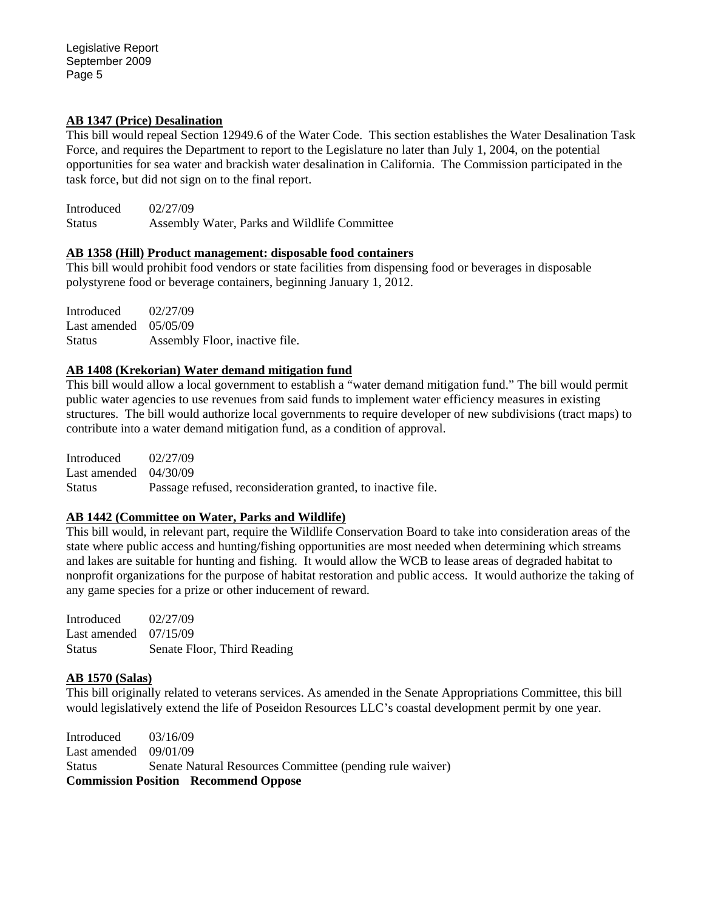### **AB 1347 (Price) Desalination**

This bill would repeal Section 12949.6 of the Water Code. This section establishes the Water Desalination Task Force, and requires the Department to report to the Legislature no later than July 1, 2004, on the potential opportunities for sea water and brackish water desalination in California. The Commission participated in the task force, but did not sign on to the final report.

Introduced 02/27/09 Status Assembly Water, Parks and Wildlife Committee

## **AB 1358 (Hill) Product management: disposable food containers**

This bill would prohibit food vendors or state facilities from dispensing food or beverages in disposable polystyrene food or beverage containers, beginning January 1, 2012.

Introduced 02/27/09 Last amended 05/05/09 Status **Assembly Floor, inactive file.** 

## **AB 1408 (Krekorian) Water demand mitigation fund**

This bill would allow a local government to establish a "water demand mitigation fund." The bill would permit public water agencies to use revenues from said funds to implement water efficiency measures in existing structures. The bill would authorize local governments to require developer of new subdivisions (tract maps) to contribute into a water demand mitigation fund, as a condition of approval.

Introduced 02/27/09 Last amended 04/30/09 Status Passage refused, reconsideration granted, to inactive file.

## **AB 1442 (Committee on Water, Parks and Wildlife)**

This bill would, in relevant part, require the Wildlife Conservation Board to take into consideration areas of the state where public access and hunting/fishing opportunities are most needed when determining which streams and lakes are suitable for hunting and fishing. It would allow the WCB to lease areas of degraded habitat to nonprofit organizations for the purpose of habitat restoration and public access. It would authorize the taking of any game species for a prize or other inducement of reward.

Introduced 02/27/09 Last amended 07/15/09 Status Senate Floor, Third Reading

## **AB 1570 (Salas)**

This bill originally related to veterans services. As amended in the Senate Appropriations Committee, this bill would legislatively extend the life of Poseidon Resources LLC's coastal development permit by one year.

Introduced 03/16/09 Last amended 09/01/09 Status Senate Natural Resources Committee (pending rule waiver) **Commission Position Recommend Oppose**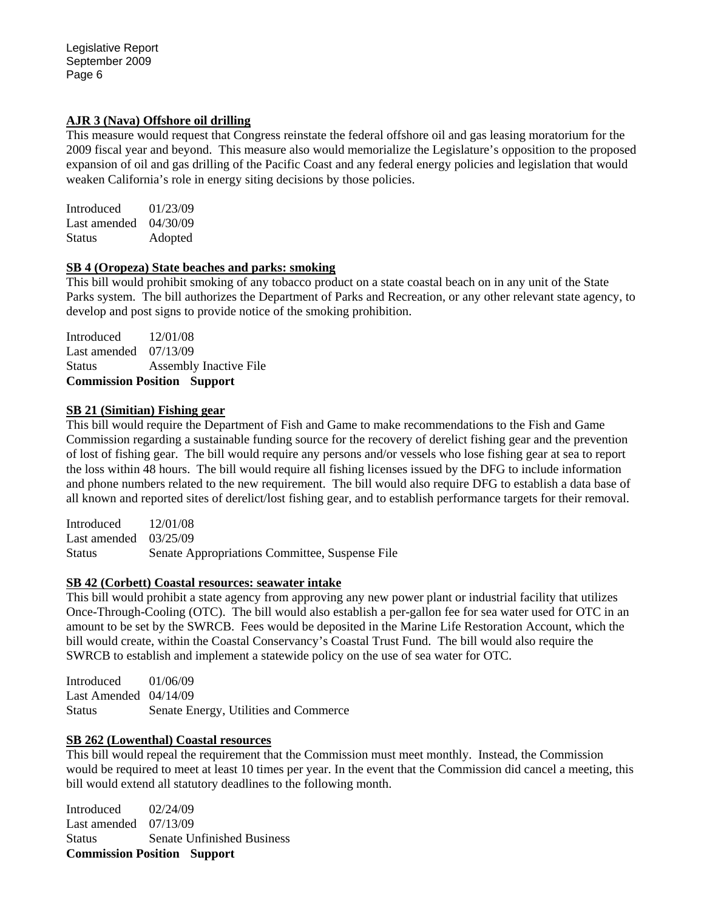## **AJR 3 (Nava) Offshore oil drilling**

This measure would request that Congress reinstate the federal offshore oil and gas leasing moratorium for the 2009 fiscal year and beyond. This measure also would memorialize the Legislature's opposition to the proposed expansion of oil and gas drilling of the Pacific Coast and any federal energy policies and legislation that would weaken California's role in energy siting decisions by those policies.

Introduced 01/23/09 Last amended 04/30/09 Status Adopted

### **SB 4 (Oropeza) State beaches and parks: smoking**

This bill would prohibit smoking of any tobacco product on a state coastal beach on in any unit of the State Parks system. The bill authorizes the Department of Parks and Recreation, or any other relevant state agency, to develop and post signs to provide notice of the smoking prohibition.

Introduced 12/01/08 Last amended 07/13/09 Status Assembly Inactive File **Commission Position Support** 

### **SB 21 (Simitian) Fishing gear**

This bill would require the Department of Fish and Game to make recommendations to the Fish and Game Commission regarding a sustainable funding source for the recovery of derelict fishing gear and the prevention of lost of fishing gear. The bill would require any persons and/or vessels who lose fishing gear at sea to report the loss within 48 hours. The bill would require all fishing licenses issued by the DFG to include information and phone numbers related to the new requirement. The bill would also require DFG to establish a data base of all known and reported sites of derelict/lost fishing gear, and to establish performance targets for their removal.

Introduced 12/01/08 Last amended 03/25/09 Status Senate Appropriations Committee, Suspense File

### **SB 42 (Corbett) Coastal resources: seawater intake**

This bill would prohibit a state agency from approving any new power plant or industrial facility that utilizes Once-Through-Cooling (OTC). The bill would also establish a per-gallon fee for sea water used for OTC in an amount to be set by the SWRCB. Fees would be deposited in the Marine Life Restoration Account, which the bill would create, within the Coastal Conservancy's Coastal Trust Fund. The bill would also require the SWRCB to establish and implement a statewide policy on the use of sea water for OTC.

Introduced 01/06/09 Last Amended 04/14/09 Status Senate Energy, Utilities and Commerce

### **SB 262 (Lowenthal) Coastal resources**

This bill would repeal the requirement that the Commission must meet monthly. Instead, the Commission would be required to meet at least 10 times per year. In the event that the Commission did cancel a meeting, this bill would extend all statutory deadlines to the following month.

Introduced 02/24/09 Last amended 07/13/09 Status Senate Unfinished Business **Commission Position Support**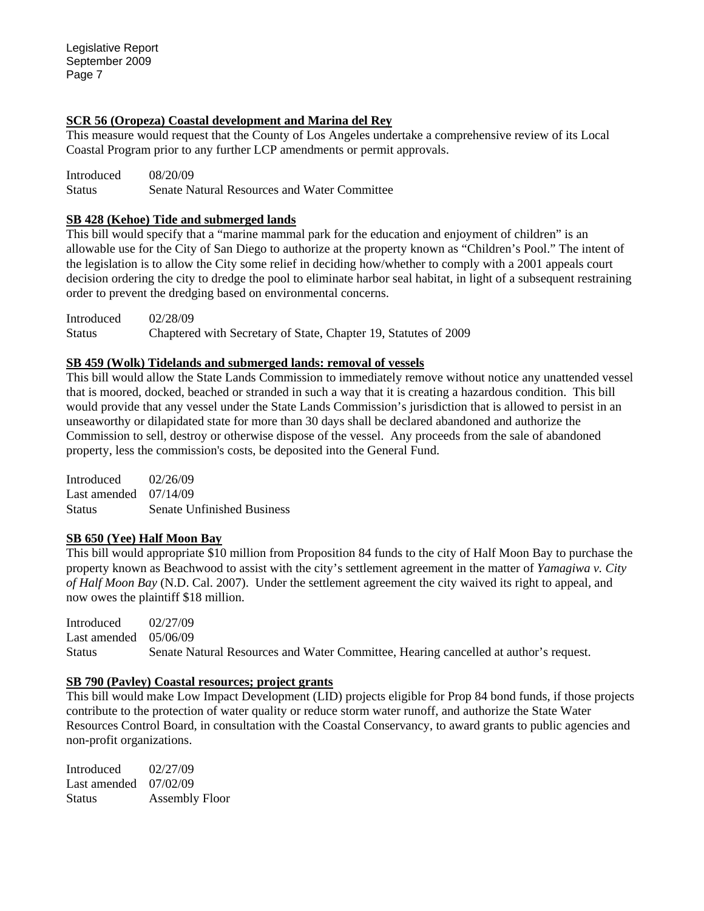## **SCR 56 (Oropeza) Coastal development and Marina del Rey**

This measure would request that the County of Los Angeles undertake a comprehensive review of its Local Coastal Program prior to any further LCP amendments or permit approvals.

Introduced 08/20/09 Status Senate Natural Resources and Water Committee

## **SB 428 (Kehoe) Tide and submerged lands**

This bill would specify that a "marine mammal park for the education and enjoyment of children" is an allowable use for the City of San Diego to authorize at the property known as "Children's Pool." The intent of the legislation is to allow the City some relief in deciding how/whether to comply with a 2001 appeals court decision ordering the city to dredge the pool to eliminate harbor seal habitat, in light of a subsequent restraining order to prevent the dredging based on environmental concerns.

Introduced 02/28/09 Status Chaptered with Secretary of State, Chapter 19, Statutes of 2009

## **SB 459 (Wolk) Tidelands and submerged lands: removal of vessels**

This bill would allow the State Lands Commission to immediately remove without notice any unattended vessel that is moored, docked, beached or stranded in such a way that it is creating a hazardous condition. This bill would provide that any vessel under the State Lands Commission's jurisdiction that is allowed to persist in an unseaworthy or dilapidated state for more than 30 days shall be declared abandoned and authorize the Commission to sell, destroy or otherwise dispose of the vessel. Any proceeds from the sale of abandoned property, less the commission's costs, be deposited into the General Fund.

Introduced 02/26/09 Last amended 07/14/09 Status Senate Unfinished Business

## **SB 650 (Yee) Half Moon Bay**

This bill would appropriate \$10 million from Proposition 84 funds to the city of Half Moon Bay to purchase the property known as Beachwood to assist with the city's settlement agreement in the matter of *Yamagiwa v. City of Half Moon Bay* (N.D. Cal. 2007). Under the settlement agreement the city waived its right to appeal, and now owes the plaintiff \$18 million.

Introduced 02/27/09 Last amended 05/06/09 Status Senate Natural Resources and Water Committee, Hearing cancelled at author's request.

### **SB 790 (Pavley) Coastal resources; project grants**

This bill would make Low Impact Development (LID) projects eligible for Prop 84 bond funds, if those projects contribute to the protection of water quality or reduce storm water runoff, and authorize the State Water Resources Control Board, in consultation with the Coastal Conservancy, to award grants to public agencies and non-profit organizations.

Introduced 02/27/09 Last amended 07/02/09 Status Assembly Floor